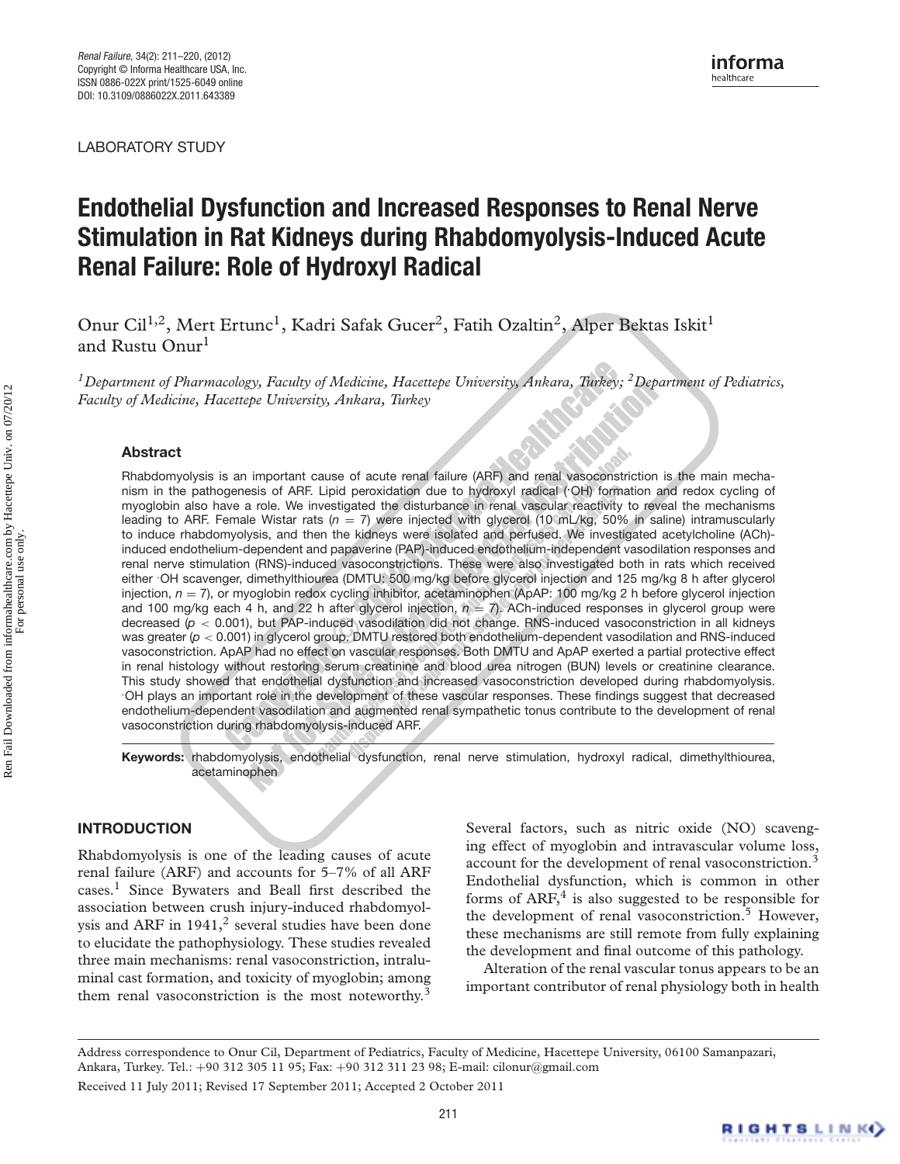LABORATORY STUDY

# **Endothelial Dysfunction and Increased Responses to Renal Nerve Stimulation in Rat Kidneys during Rhabdomyolysis-Induced Acute Renal Failure: Role of Hydroxyl Radical**

Onur Cil<sup>1,2</sup>, Mert Ertunc<sup>1</sup>, Kadri Safak Gucer<sup>2</sup>, Fatih Ozaltin<sup>2</sup>, Alper Bektas Iskit<sup>1</sup> and Rustu Onur<sup>l</sup>

*1Department of Pharmacology, Faculty of Medicine, Hacettepe University, Ankara, Turkey; 2Department of Pediatrics, Faculty of Medicine, Hacettepe University, Ankara, Turkey*

# **Abstract**

Rhabdomyolysis is an important cause of acute renal failure (ARF) and renal vasoconstriction is the main mechanism in the pathogenesis of ARF. Lipid peroxidation due to hydroxyl radical (**.** OH) formation and redox cycling of myoglobin also have a role. We investigated the disturbance in renal vascular reactivity to reveal the mechanisms leading to ARF. Female Wistar rats  $(n = 7)$  were injected with glycerol (10 mL/kg, 50% in saline) intramuscularly to induce rhabdomyolysis, and then the kidneys were isolated and perfused. We investigated acetylcholine (ACh) induced endothelium-dependent and papaverine (PAP)-induced endothelium-independent vasodilation responses and renal nerve stimulation (RNS)-induced vasoconstrictions. These were also investigated both in rats which received either . OH scavenger, dimethylthiourea (DMTU: 500 mg/kg before glycerol injection and 125 mg/kg 8 h after glycerol injection,  $n = 7$ ), or myoglobin redox cycling inhibitor, acetaminophen (ApAP: 100 mg/kg 2 h before glycerol injection and 100 mg/kg each 4 h, and 22 h after glycerol injection,  $n = 7$ ). ACh-induced responses in glycerol group were decreased ( $p < 0.001$ ), but PAP-induced vasodilation did not change. RNS-induced vasoconstriction in all kidneys was greater ( $p < 0.001$ ) in glycerol group. DMTU restored both endothelium-dependent vasodilation and RNS-induced vasoconstriction. ApAP had no effect on vascular responses. Both DMTU and ApAP exerted a partial protective effect in renal histology without restoring serum creatinine and blood urea nitrogen (BUN) levels or creatinine clearance. This study showed that endothelial dysfunction and increased vasoconstriction developed during rhabdomyolysis. . OH plays an important role in the development of these vascular responses. These findings suggest that decreased endothelium-dependent vasodilation and augmented renal sympathetic tonus contribute to the development of renal vasoconstriction during rhabdomyolysis-induced ARF.

**Keywords:** rhabdomyolysis, endothelial dysfunction, renal nerve stimulation, hydroxyl radical, dimethylthiourea, acetaminophen

# **INTRODUCTION**

Rhabdomyolysis is one of the leading causes of acute renal failure (ARF) and accounts for 5–7% of all ARF cases.<sup>1</sup> Since Bywaters and Beall first described the association between crush injury-induced rhabdomyolysis and ARF in  $1941$ ,<sup>2</sup> several studies have been done to elucidate the pathophysiology. These studies revealed three main mechanisms: renal vasoconstriction, intraluminal cast formation, and toxicity of myoglobin; among them renal vasoconstriction is the most noteworthy.<sup>3</sup>

Several factors, such as nitric oxide (NO) scavenging effect of myoglobin and intravascular volume loss, account for the development of renal vasoconstriction.<sup>3</sup> Endothelial dysfunction, which is common in other forms of  $ARF<sub>2</sub><sup>4</sup>$  is also suggested to be responsible for the development of renal vasoconstriction.<sup>5</sup> However, these mechanisms are still remote from fully explaining the development and final outcome of this pathology.

Alteration of the renal vascular tonus appears to be an important contributor of renal physiology both in health

Address correspondence to Onur Cil, Department of Pediatrics, Faculty of Medicine, Hacettepe University, 06100 Samanpazari, Ankara, Turkey. Tel.: +90 312 305 11 95; Fax: +90 312 311 23 98; E-mail: cilonur@gmail.com Received 11 July 2011; Revised 17 September 2011; Accepted 2 October 2011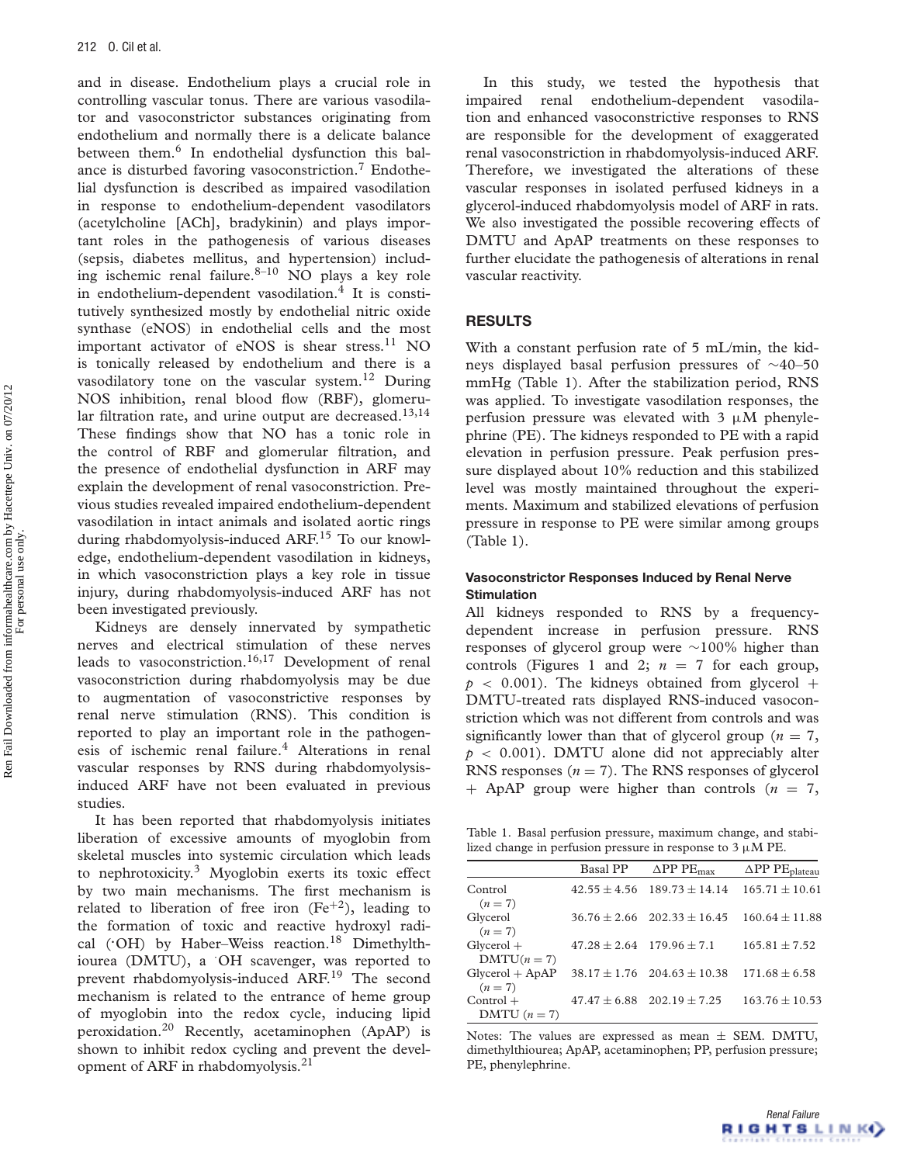and in disease. Endothelium plays a crucial role in controlling vascular tonus. There are various vasodilator and vasoconstrictor substances originating from endothelium and normally there is a delicate balance between them.<sup>6</sup> In endothelial dysfunction this balance is disturbed favoring vasoconstriction.<sup>7</sup> Endothelial dysfunction is described as impaired vasodilation in response to endothelium-dependent vasodilators (acetylcholine [ACh], bradykinin) and plays important roles in the pathogenesis of various diseases (sepsis, diabetes mellitus, and hypertension) including ischemic renal failure.<sup>8-10</sup> NO plays a key role in endothelium-dependent vasodilation. $4$  It is constitutively synthesized mostly by endothelial nitric oxide synthase (eNOS) in endothelial cells and the most important activator of eNOS is shear stress.<sup>11</sup> NO is tonically released by endothelium and there is a vasodilatory tone on the vascular system.<sup>12</sup> During NOS inhibition, renal blood flow (RBF), glomerular filtration rate, and urine output are decreased.<sup>13,14</sup> These findings show that NO has a tonic role in the control of RBF and glomerular filtration, and the presence of endothelial dysfunction in ARF may explain the development of renal vasoconstriction. Previous studies revealed impaired endothelium-dependent vasodilation in intact animals and isolated aortic rings during rhabdomyolysis-induced ARF.<sup>15</sup> To our knowledge, endothelium-dependent vasodilation in kidneys, in which vasoconstriction plays a key role in tissue injury, during rhabdomyolysis-induced ARF has not been investigated previously.

Kidneys are densely innervated by sympathetic nerves and electrical stimulation of these nerves leads to vasoconstriction.<sup>16,17</sup> Development of renal vasoconstriction during rhabdomyolysis may be due to augmentation of vasoconstrictive responses by renal nerve stimulation (RNS). This condition is reported to play an important role in the pathogenesis of ischemic renal failure.<sup>4</sup> Alterations in renal vascular responses by RNS during rhabdomyolysisinduced ARF have not been evaluated in previous studies.

It has been reported that rhabdomyolysis initiates liberation of excessive amounts of myoglobin from skeletal muscles into systemic circulation which leads to nephrotoxicity.<sup>3</sup> Myoglobin exerts its toxic effect by two main mechanisms. The first mechanism is related to liberation of free iron  $(Fe^{+2})$ , leading to the formation of toxic and reactive hydroxyl radical ('OH) by Haber-Weiss reaction.<sup>18</sup> Dimethylthiourea (DMTU), a · OH scavenger, was reported to prevent rhabdomyolysis-induced ARF.<sup>19</sup> The second mechanism is related to the entrance of heme group of myoglobin into the redox cycle, inducing lipid peroxidation.20 Recently, acetaminophen (ApAP) is shown to inhibit redox cycling and prevent the development of ARF in rhabdomyolysis.21

In this study, we tested the hypothesis that impaired renal endothelium-dependent vasodilation and enhanced vasoconstrictive responses to RNS are responsible for the development of exaggerated renal vasoconstriction in rhabdomyolysis-induced ARF. Therefore, we investigated the alterations of these vascular responses in isolated perfused kidneys in a glycerol-induced rhabdomyolysis model of ARF in rats. We also investigated the possible recovering effects of DMTU and ApAP treatments on these responses to further elucidate the pathogenesis of alterations in renal vascular reactivity.

## **RESULTS**

With a constant perfusion rate of 5 mL/min, the kidneys displayed basal perfusion pressures of ∼40–50 mmHg (Table 1). After the stabilization period, RNS was applied. To investigate vasodilation responses, the perfusion pressure was elevated with  $3 \mu M$  phenylephrine (PE). The kidneys responded to PE with a rapid elevation in perfusion pressure. Peak perfusion pressure displayed about 10% reduction and this stabilized level was mostly maintained throughout the experiments. Maximum and stabilized elevations of perfusion pressure in response to PE were similar among groups (Table 1).

## **Vasoconstrictor Responses Induced by Renal Nerve Stimulation**

All kidneys responded to RNS by a frequencydependent increase in perfusion pressure. RNS responses of glycerol group were ∼100% higher than controls (Figures 1 and 2;  $n = 7$  for each group,  $p \sim 0.001$ ). The kidneys obtained from glycerol + DMTU-treated rats displayed RNS-induced vasoconstriction which was not different from controls and was significantly lower than that of glycerol group ( $n = 7$ ,  $p < 0.001$ ). DMTU alone did not appreciably alter RNS responses  $(n = 7)$ . The RNS responses of glycerol + ApAP group were higher than controls (*n* = 7,

Table 1. Basal perfusion pressure, maximum change, and stabilized change in perfusion pressure in response to  $3 \mu M$  PE.

|                              | <b>Basal PP</b>                   | $\Delta PP$ PE <sub>may</sub>       | $\Delta \text{PP PE}_{\text{plateau}}$ |
|------------------------------|-----------------------------------|-------------------------------------|----------------------------------------|
| Control<br>$(n=7)$           | $42.55 + 4.56$                    | $189.73 + 14.14$                    | $165.71 \pm 10.61$                     |
| Glycerol<br>$(n=7)$          | $36.76 \pm 2.66$                  | $202.33 \pm 16.45$                  | $160.64 \pm 11.88$                     |
| $Glycerol +$<br>$DMTU(n=7)$  | $47.28 \pm 2.64$ 179.96 $\pm 7.1$ |                                     | $165.81 + 7.52$                        |
| $Glycerol + ApAP$<br>$(n=7)$ |                                   | $38.17 \pm 1.76$ $204.63 \pm 10.38$ | $171.68 \pm 6.58$                      |
| $Control +$<br>DMTU $(n=7)$  |                                   | $47.47 \pm 6.88$ $202.19 \pm 7.25$  | $163.76 \pm 10.53$                     |

Notes: The values are expressed as mean  $\pm$  SEM. DMTU, dimethylthiourea; ApAP, acetaminophen; PP, perfusion pressure; PE, phenylephrine.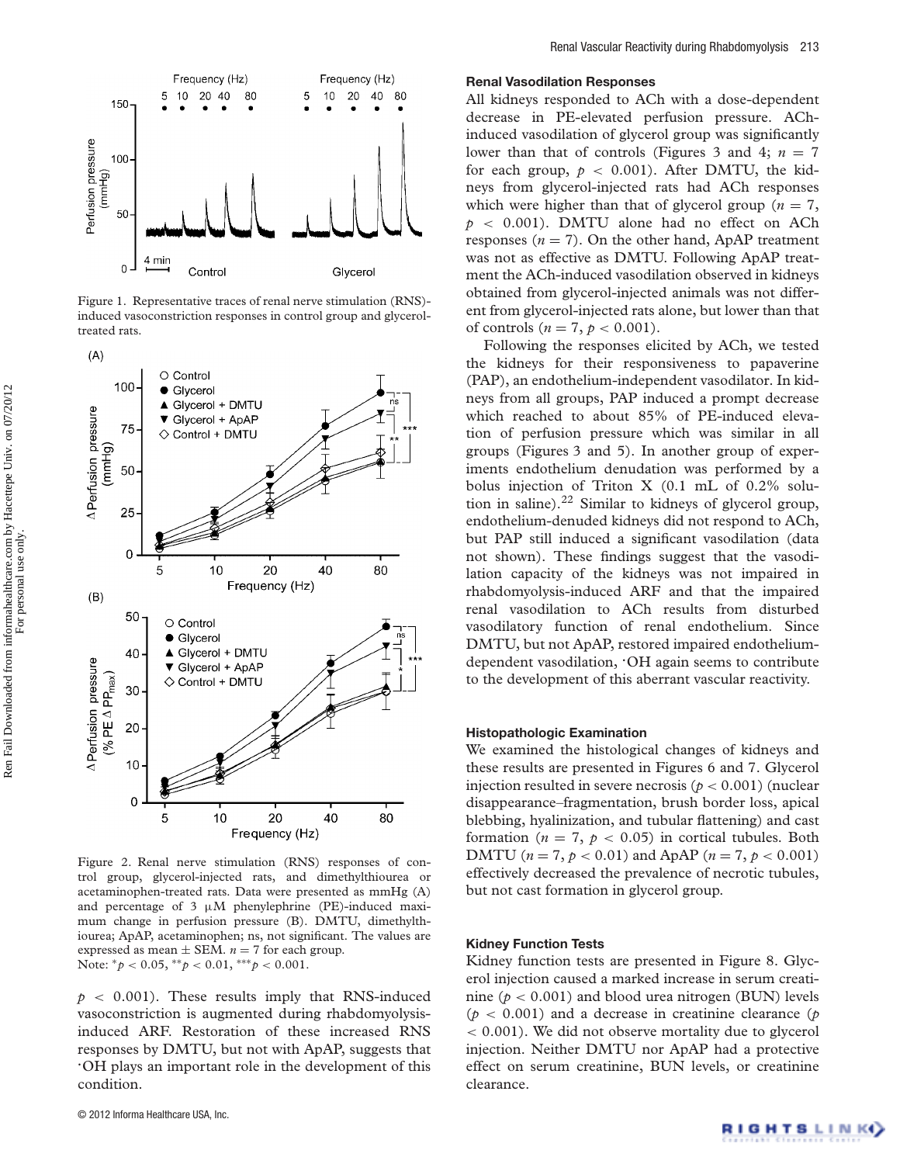

Figure 1. Representative traces of renal nerve stimulation (RNS) induced vasoconstriction responses in control group and glyceroltreated rats.



Figure 2. Renal nerve stimulation (RNS) responses of control group, glycerol-injected rats, and dimethylthiourea or acetaminophen-treated rats. Data were presented as mmHg (A) and percentage of 3  $\mu$ M phenylephrine (PE)-induced maximum change in perfusion pressure (B). DMTU, dimethylthiourea; ApAP, acetaminophen; ns, not significant. The values are expressed as mean  $\pm$  SEM.  $n = 7$  for each group. Note: ∗*p* < 0.05, ∗∗*p* < 0.01, ∗∗∗*p* < 0.001.

 $p \sim 0.001$ . These results imply that RNS-induced vasoconstriction is augmented during rhabdomyolysisinduced ARF. Restoration of these increased RNS responses by DMTU, but not with ApAP, suggests that **.** OH plays an important role in the development of this condition.

#### **Renal Vasodilation Responses**

All kidneys responded to ACh with a dose-dependent decrease in PE-elevated perfusion pressure. AChinduced vasodilation of glycerol group was significantly lower than that of controls (Figures 3 and 4;  $n = 7$ for each group,  $p < 0.001$ ). After DMTU, the kidneys from glycerol-injected rats had ACh responses which were higher than that of glycerol group ( $n = 7$ ,  $p \sim 0.001$ ). DMTU alone had no effect on ACh responses  $(n = 7)$ . On the other hand, ApAP treatment was not as effective as DMTU. Following ApAP treatment the ACh-induced vasodilation observed in kidneys obtained from glycerol-injected animals was not different from glycerol-injected rats alone, but lower than that of controls  $(n = 7, p < 0.001)$ .

Following the responses elicited by ACh, we tested the kidneys for their responsiveness to papaverine (PAP), an endothelium-independent vasodilator. In kidneys from all groups, PAP induced a prompt decrease which reached to about 85% of PE-induced elevation of perfusion pressure which was similar in all groups (Figures 3 and 5). In another group of experiments endothelium denudation was performed by a bolus injection of Triton X (0.1 mL of 0.2% solution in saline).<sup>22</sup> Similar to kidneys of glycerol group, endothelium-denuded kidneys did not respond to ACh, but PAP still induced a significant vasodilation (data not shown). These findings suggest that the vasodilation capacity of the kidneys was not impaired in rhabdomyolysis-induced ARF and that the impaired renal vasodilation to ACh results from disturbed vasodilatory function of renal endothelium. Since DMTU, but not ApAP, restored impaired endotheliumdependent vasodilation, **.** OH again seems to contribute to the development of this aberrant vascular reactivity.

#### **Histopathologic Examination**

We examined the histological changes of kidneys and these results are presented in Figures 6 and 7. Glycerol injection resulted in severe necrosis ( $p < 0.001$ ) (nuclear disappearance–fragmentation, brush border loss, apical blebbing, hyalinization, and tubular flattening) and cast formation ( $n = 7$ ,  $p < 0.05$ ) in cortical tubules. Both DMTU ( $n = 7, p < 0.01$ ) and ApAP ( $n = 7, p < 0.001$ ) effectively decreased the prevalence of necrotic tubules, but not cast formation in glycerol group.

#### **Kidney Function Tests**

Kidney function tests are presented in Figure 8. Glycerol injection caused a marked increase in serum creatinine ( $p < 0.001$ ) and blood urea nitrogen (BUN) levels (*p* < 0.001) and a decrease in creatinine clearance (*p* < 0.001). We did not observe mortality due to glycerol injection. Neither DMTU nor ApAP had a protective effect on serum creatinine, BUN levels, or creatinine clearance.

For personal use only.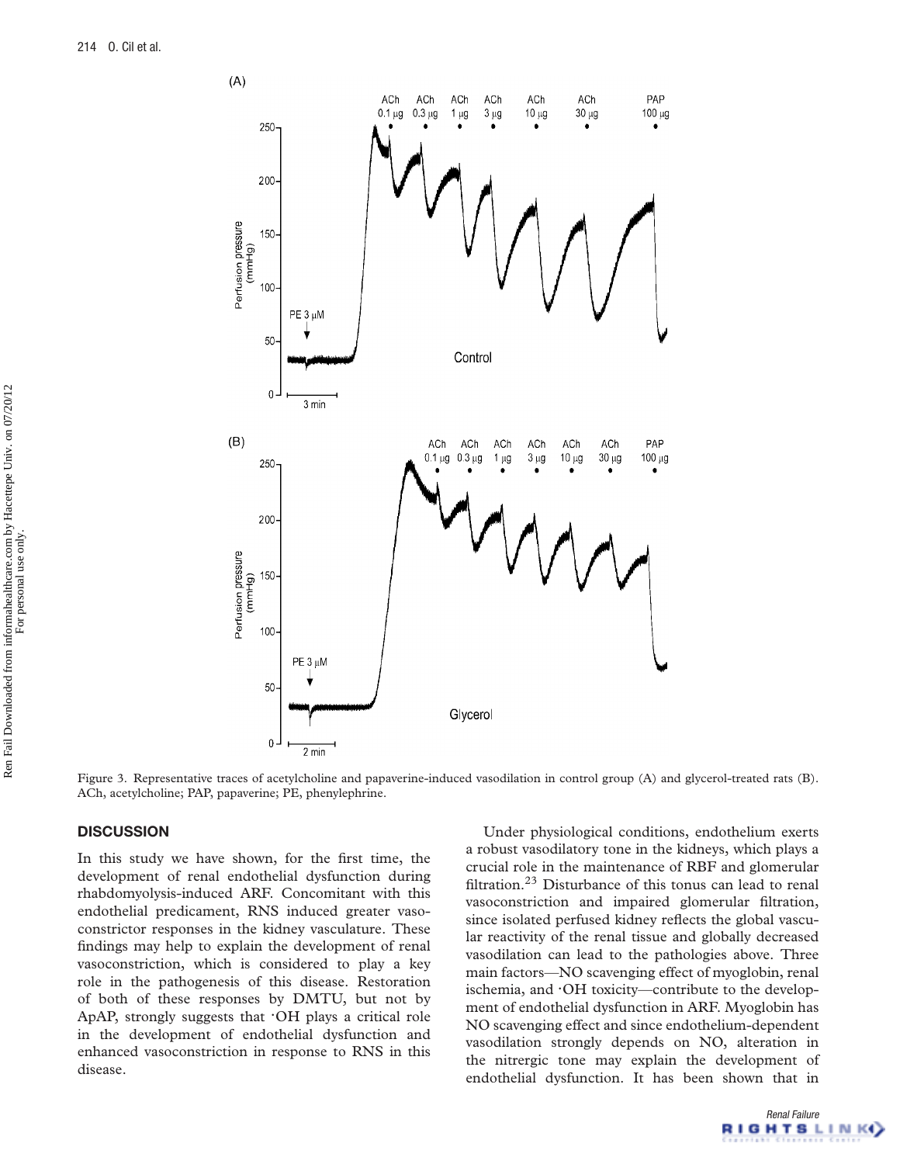

Figure 3. Representative traces of acetylcholine and papaverine-induced vasodilation in control group (A) and glycerol-treated rats (B). ACh, acetylcholine; PAP, papaverine; PE, phenylephrine.

# **DISCUSSION**

In this study we have shown, for the first time, the development of renal endothelial dysfunction during rhabdomyolysis-induced ARF. Concomitant with this endothelial predicament, RNS induced greater vasoconstrictor responses in the kidney vasculature. These findings may help to explain the development of renal vasoconstriction, which is considered to play a key role in the pathogenesis of this disease. Restoration of both of these responses by DMTU, but not by ApAP, strongly suggests that **.** OH plays a critical role in the development of endothelial dysfunction and enhanced vasoconstriction in response to RNS in this disease.

Under physiological conditions, endothelium exerts a robust vasodilatory tone in the kidneys, which plays a crucial role in the maintenance of RBF and glomerular filtration.23 Disturbance of this tonus can lead to renal vasoconstriction and impaired glomerular filtration, since isolated perfused kidney reflects the global vascular reactivity of the renal tissue and globally decreased vasodilation can lead to the pathologies above. Three main factors—NO scavenging effect of myoglobin, renal ischemia, and **.** OH toxicity—contribute to the development of endothelial dysfunction in ARF. Myoglobin has NO scavenging effect and since endothelium-dependent vasodilation strongly depends on NO, alteration in the nitrergic tone may explain the development of endothelial dysfunction. It has been shown that in

For personal use only.

Renal Failure **IGHTSLINK**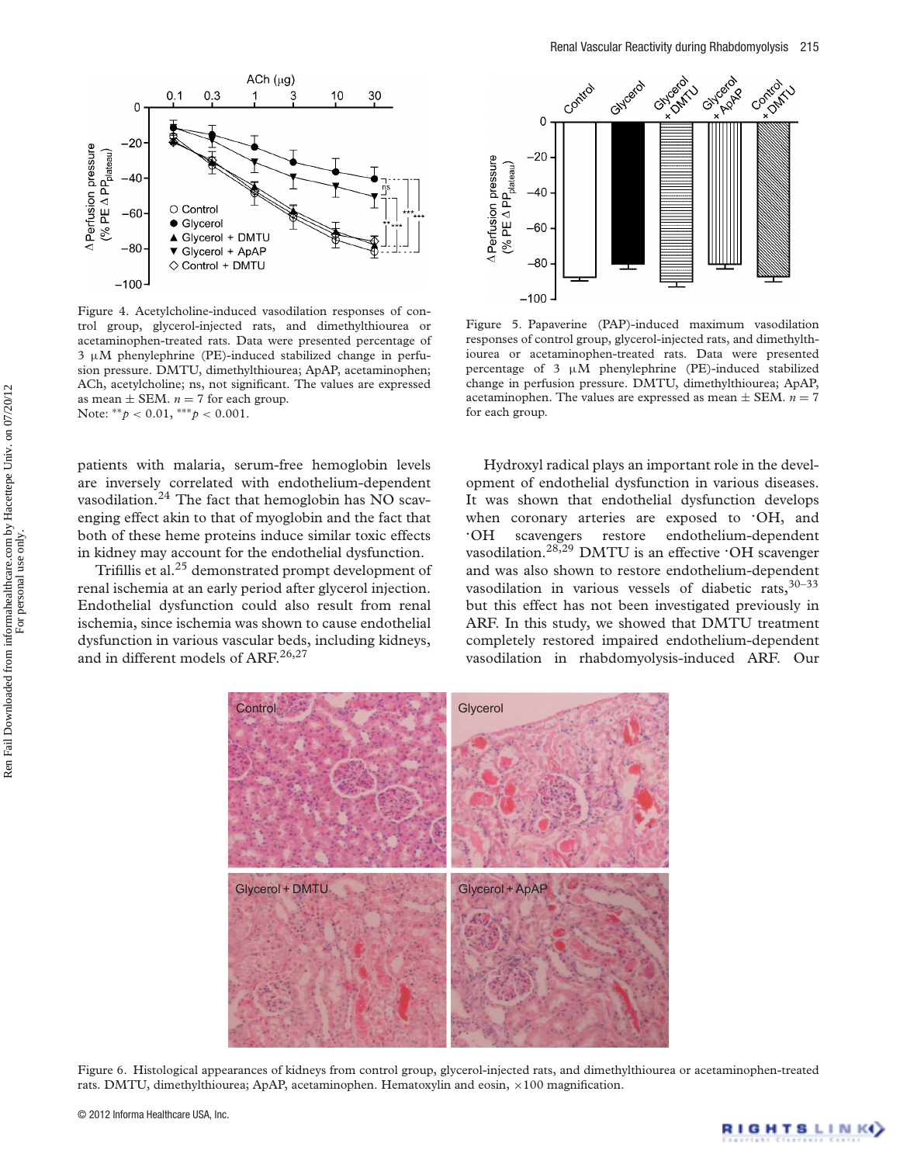

Figure 4. Acetylcholine-induced vasodilation responses of control group, glycerol-injected rats, and dimethylthiourea or acetaminophen-treated rats. Data were presented percentage of 3 μM phenylephrine (PE)-induced stabilized change in perfusion pressure. DMTU, dimethylthiourea; ApAP, acetaminophen; ACh, acetylcholine; ns, not significant. The values are expressed as mean  $\pm$  SEM.  $n = 7$  for each group. Note: ∗∗*p* < 0.01, ∗∗∗*p* < 0.001.

patients with malaria, serum-free hemoglobin levels are inversely correlated with endothelium-dependent vasodilation.<sup>24</sup> The fact that hemoglobin has NO scavenging effect akin to that of myoglobin and the fact that both of these heme proteins induce similar toxic effects in kidney may account for the endothelial dysfunction.

Trifillis et al.25 demonstrated prompt development of renal ischemia at an early period after glycerol injection. Endothelial dysfunction could also result from renal ischemia, since ischemia was shown to cause endothelial dysfunction in various vascular beds, including kidneys, and in different models of ARF.<sup>26,27</sup>



Figure 5. Papaverine (PAP)-induced maximum vasodilation responses of control group, glycerol-injected rats, and dimethylthiourea or acetaminophen-treated rats. Data were presented percentage of 3 μM phenylephrine (PE)-induced stabilized change in perfusion pressure. DMTU, dimethylthiourea; ApAP, acetaminophen. The values are expressed as mean  $\pm$  SEM.  $n = 7$ for each group.

Hydroxyl radical plays an important role in the development of endothelial dysfunction in various diseases. It was shown that endothelial dysfunction develops when coronary arteries are exposed to *OH*, and **.** scavengers restore endothelium-dependent vasodilation.28,29 DMTU is an effective **.** OH scavenger and was also shown to restore endothelium-dependent vasodilation in various vessels of diabetic rats, 30-33 but this effect has not been investigated previously in ARF. In this study, we showed that DMTU treatment completely restored impaired endothelium-dependent vasodilation in rhabdomyolysis-induced ARF. Our



Figure 6. Histological appearances of kidneys from control group, glycerol-injected rats, and dimethylthiourea or acetaminophen-treated rats. DMTU, dimethylthiourea; ApAP, acetaminophen. Hematoxylin and eosin,  $\times 100$  magnification.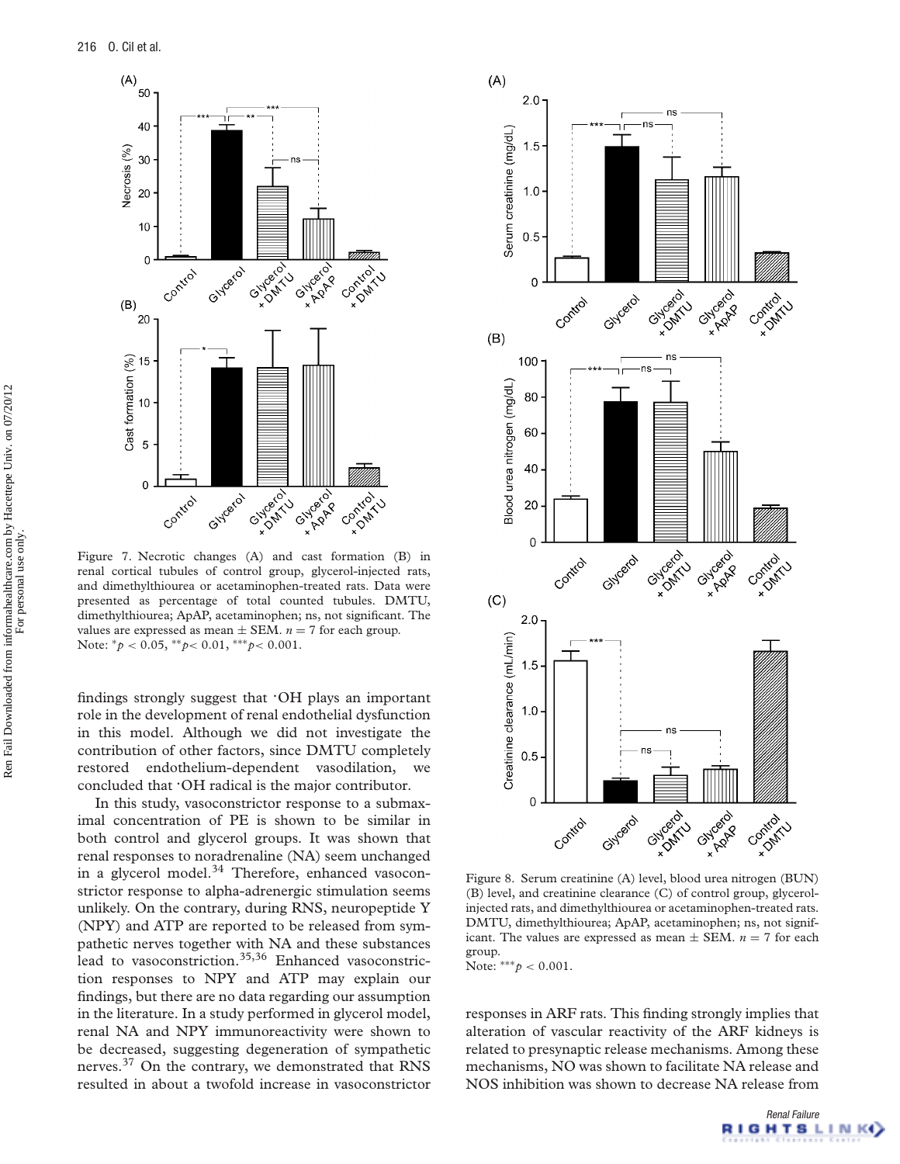

Figure 7. Necrotic changes (A) and cast formation (B) in renal cortical tubules of control group, glycerol-injected rats, and dimethylthiourea or acetaminophen-treated rats. Data were presented as percentage of total counted tubules. DMTU, dimethylthiourea; ApAP, acetaminophen; ns, not significant. The values are expressed as mean  $\pm$  SEM.  $n = 7$  for each group. Note: ∗*p* < 0.05, ∗∗*p*< 0.01, ∗∗∗*p*< 0.001.

findings strongly suggest that **.** OH plays an important role in the development of renal endothelial dysfunction in this model. Although we did not investigate the contribution of other factors, since DMTU completely restored endothelium-dependent vasodilation, we concluded that **.** OH radical is the major contributor.

In this study, vasoconstrictor response to a submaximal concentration of PE is shown to be similar in both control and glycerol groups. It was shown that renal responses to noradrenaline (NA) seem unchanged in a glycerol model.<sup>34</sup> Therefore, enhanced vasoconstrictor response to alpha-adrenergic stimulation seems unlikely. On the contrary, during RNS, neuropeptide Y (NPY) and ATP are reported to be released from sympathetic nerves together with NA and these substances lead to vasoconstriction.<sup>35,36</sup> Enhanced vasoconstriction responses to NPY and ATP may explain our findings, but there are no data regarding our assumption in the literature. In a study performed in glycerol model, renal NA and NPY immunoreactivity were shown to be decreased, suggesting degeneration of sympathetic nerves.37 On the contrary, we demonstrated that RNS resulted in about a twofold increase in vasoconstrictor



Figure 8. Serum creatinine (A) level, blood urea nitrogen (BUN) (B) level, and creatinine clearance (C) of control group, glycerolinjected rats, and dimethylthiourea or acetaminophen-treated rats. DMTU, dimethylthiourea; ApAP, acetaminophen; ns, not significant. The values are expressed as mean  $\pm$  SEM.  $n = 7$  for each group.

Note: ∗∗∗*p* < 0.001.

responses in ARF rats. This finding strongly implies that alteration of vascular reactivity of the ARF kidneys is related to presynaptic release mechanisms. Among these mechanisms, NO was shown to facilitate NA release and NOS inhibition was shown to decrease NA release from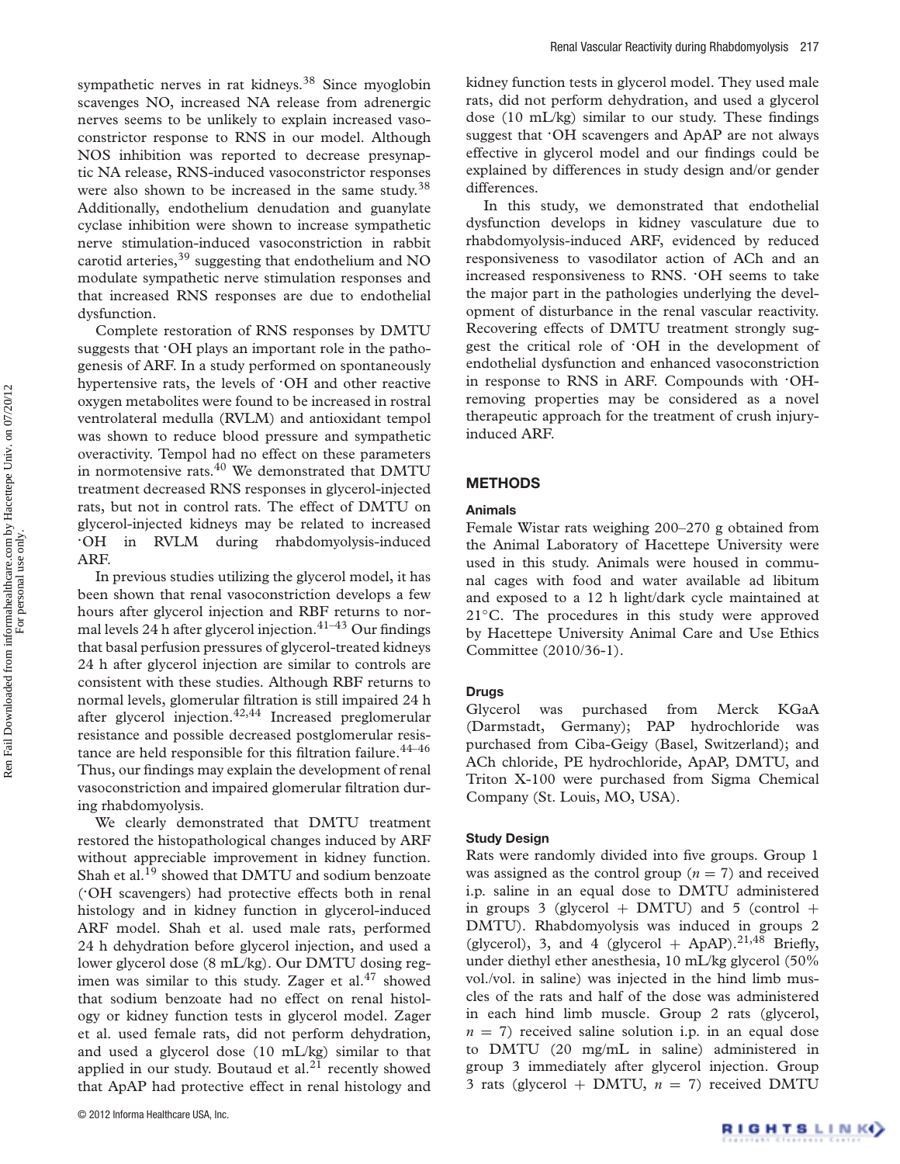sympathetic nerves in rat kidneys.<sup>38</sup> Since myoglobin scavenges NO, increased NA release from adrenergic nerves seems to be unlikely to explain increased vasoconstrictor response to RNS in our model. Although NOS inhibition was reported to decrease presynaptic NA release, RNS-induced vasoconstrictor responses were also shown to be increased in the same study.<sup>38</sup> Additionally, endothelium denudation and guanylate cyclase inhibition were shown to increase sympathetic nerve stimulation-induced vasoconstriction in rabbit carotid arteries,  $39$  suggesting that endothelium and NO modulate sympathetic nerve stimulation responses and that increased RNS responses are due to endothelial dysfunction.

Complete restoration of RNS responses by DMTU suggests that **.** OH plays an important role in the pathogenesis of ARF. In a study performed on spontaneously hypertensive rats, the levels of **.** OH and other reactive oxygen metabolites were found to be increased in rostral ventrolateral medulla (RVLM) and antioxidant tempol was shown to reduce blood pressure and sympathetic overactivity. Tempol had no effect on these parameters in normotensive rats.40 We demonstrated that DMTU treatment decreased RNS responses in glycerol-injected rats, but not in control rats. The effect of DMTU on glycerol-injected kidneys may be related to increased **.** in RVLM during rhabdomyolysis-induced ARF.

In previous studies utilizing the glycerol model, it has been shown that renal vasoconstriction develops a few hours after glycerol injection and RBF returns to normal levels 24 h after glycerol injection.<sup>41-43</sup> Our findings that basal perfusion pressures of glycerol-treated kidneys 24 h after glycerol injection are similar to controls are consistent with these studies. Although RBF returns to normal levels, glomerular filtration is still impaired 24 h after glycerol injection.<sup>42,44</sup> Increased preglomerular resistance and possible decreased postglomerular resistance are held responsible for this filtration failure.  $44-46$ Thus, our findings may explain the development of renal vasoconstriction and impaired glomerular filtration during rhabdomyolysis.

We clearly demonstrated that DMTU treatment restored the histopathological changes induced by ARF without appreciable improvement in kidney function. Shah et al.<sup>19</sup> showed that DMTU and sodium benzoate (**.** OH scavengers) had protective effects both in renal histology and in kidney function in glycerol-induced ARF model. Shah et al. used male rats, performed 24 h dehydration before glycerol injection, and used a lower glycerol dose (8 mL/kg). Our DMTU dosing regimen was similar to this study. Zager et al.<sup>47</sup> showed that sodium benzoate had no effect on renal histology or kidney function tests in glycerol model. Zager et al. used female rats, did not perform dehydration, and used a glycerol dose (10 mL/kg) similar to that applied in our study. Boutaud et al. $21$  recently showed that ApAP had protective effect in renal histology and kidney function tests in glycerol model. They used male rats, did not perform dehydration, and used a glycerol dose (10 mL/kg) similar to our study. These findings suggest that **.** OH scavengers and ApAP are not always effective in glycerol model and our findings could be explained by differences in study design and/or gender differences.

In this study, we demonstrated that endothelial dysfunction develops in kidney vasculature due to rhabdomyolysis-induced ARF, evidenced by reduced responsiveness to vasodilator action of ACh and an increased responsiveness to RNS. **.** OH seems to take the major part in the pathologies underlying the development of disturbance in the renal vascular reactivity. Recovering effects of DMTU treatment strongly suggest the critical role of **.** OH in the development of endothelial dysfunction and enhanced vasoconstriction in response to RNS in ARF. Compounds with **.** OHremoving properties may be considered as a novel therapeutic approach for the treatment of crush injuryinduced ARF.

#### **METHODS**

#### **Animals**

Female Wistar rats weighing 200–270 g obtained from the Animal Laboratory of Hacettepe University were used in this study. Animals were housed in communal cages with food and water available ad libitum and exposed to a 12 h light/dark cycle maintained at 21<sup>°</sup>C. The procedures in this study were approved by Hacettepe University Animal Care and Use Ethics Committee (2010/36-1).

#### **Drugs**

Glycerol was purchased from Merck KGaA (Darmstadt, Germany); PAP hydrochloride was purchased from Ciba-Geigy (Basel, Switzerland); and ACh chloride, PE hydrochloride, ApAP, DMTU, and Triton X-100 were purchased from Sigma Chemical Company (St. Louis, MO, USA).

#### **Study Design**

Rats were randomly divided into five groups. Group 1 was assigned as the control group  $(n = 7)$  and received i.p. saline in an equal dose to DMTU administered in groups 3 (glycerol + DMTU) and 5 (control + DMTU). Rhabdomyolysis was induced in groups 2 (glycerol), 3, and 4 (glycerol + ApAP).<sup>21,48</sup> Briefly, under diethyl ether anesthesia, 10 mL/kg glycerol (50% vol./vol. in saline) was injected in the hind limb muscles of the rats and half of the dose was administered in each hind limb muscle. Group 2 rats (glycerol,  $n = 7$ ) received saline solution i.p. in an equal dose to DMTU (20 mg/mL in saline) administered in group 3 immediately after glycerol injection. Group 3 rats (glycerol + DMTU,  $n = 7$ ) received DMTU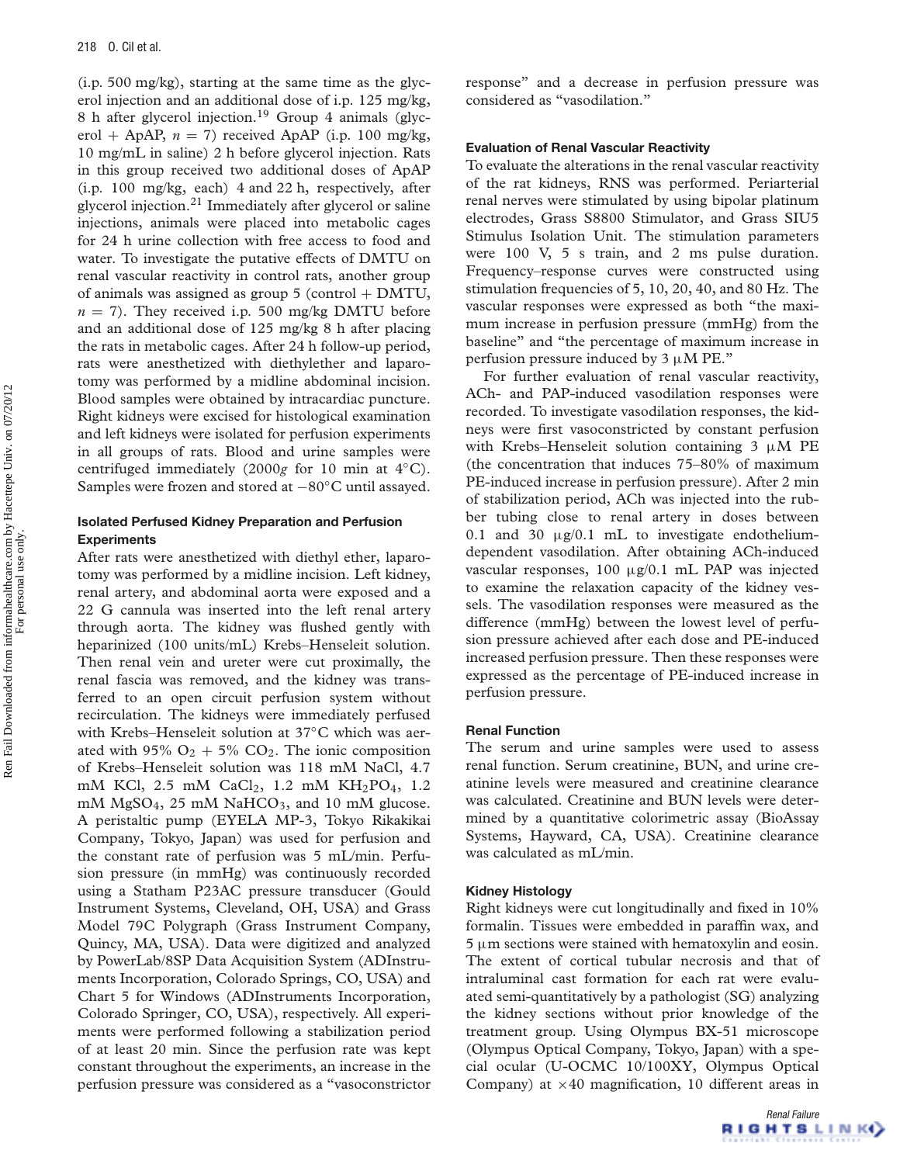(i.p. 500 mg/kg), starting at the same time as the glycerol injection and an additional dose of i.p. 125 mg/kg, 8 h after glycerol injection.<sup>19</sup> Group 4 animals (glycerol + ApAP,  $n = 7$ ) received ApAP (i.p. 100 mg/kg, 10 mg/mL in saline) 2 h before glycerol injection. Rats in this group received two additional doses of ApAP (i.p. 100 mg/kg, each) 4 and 22 h, respectively, after glycerol injection.<sup>21</sup> Immediately after glycerol or saline injections, animals were placed into metabolic cages for 24 h urine collection with free access to food and water. To investigate the putative effects of DMTU on renal vascular reactivity in control rats, another group of animals was assigned as group  $5$  (control  $+$  DMTU,  $n = 7$ ). They received i.p. 500 mg/kg DMTU before and an additional dose of 125 mg/kg 8 h after placing the rats in metabolic cages. After 24 h follow-up period, rats were anesthetized with diethylether and laparotomy was performed by a midline abdominal incision. Blood samples were obtained by intracardiac puncture. Right kidneys were excised for histological examination and left kidneys were isolated for perfusion experiments in all groups of rats. Blood and urine samples were centrifuged immediately (2000*g* for 10 min at 4◦C). Samples were frozen and stored at −80◦C until assayed.

## **Isolated Perfused Kidney Preparation and Perfusion Experiments**

After rats were anesthetized with diethyl ether, laparotomy was performed by a midline incision. Left kidney, renal artery, and abdominal aorta were exposed and a 22 G cannula was inserted into the left renal artery through aorta. The kidney was flushed gently with heparinized (100 units/mL) Krebs–Henseleit solution. Then renal vein and ureter were cut proximally, the renal fascia was removed, and the kidney was transferred to an open circuit perfusion system without recirculation. The kidneys were immediately perfused with Krebs–Henseleit solution at 37◦C which was aerated with 95%  $O_2 + 5% CO_2$ . The ionic composition of Krebs–Henseleit solution was 118 mM NaCl, 4.7 mM KCl, 2.5 mM CaCl<sub>2</sub>, 1.2 mM KH<sub>2</sub>PO<sub>4</sub>, 1.2 mM MgSO<sub>4</sub>, 25 mM NaHCO<sub>3</sub>, and 10 mM glucose. A peristaltic pump (EYELA MP-3, Tokyo Rikakikai Company, Tokyo, Japan) was used for perfusion and the constant rate of perfusion was 5 mL/min. Perfusion pressure (in mmHg) was continuously recorded using a Statham P23AC pressure transducer (Gould Instrument Systems, Cleveland, OH, USA) and Grass Model 79C Polygraph (Grass Instrument Company, Quincy, MA, USA). Data were digitized and analyzed by PowerLab/8SP Data Acquisition System (ADInstruments Incorporation, Colorado Springs, CO, USA) and Chart 5 for Windows (ADInstruments Incorporation, Colorado Springer, CO, USA), respectively. All experiments were performed following a stabilization period of at least 20 min. Since the perfusion rate was kept constant throughout the experiments, an increase in the perfusion pressure was considered as a "vasoconstrictor

response" and a decrease in perfusion pressure was considered as "vasodilation."

#### **Evaluation of Renal Vascular Reactivity**

To evaluate the alterations in the renal vascular reactivity of the rat kidneys, RNS was performed. Periarterial renal nerves were stimulated by using bipolar platinum electrodes, Grass S8800 Stimulator, and Grass SIU5 Stimulus Isolation Unit. The stimulation parameters were 100 V, 5 s train, and 2 ms pulse duration. Frequency–response curves were constructed using stimulation frequencies of 5, 10, 20, 40, and 80 Hz. The vascular responses were expressed as both "the maximum increase in perfusion pressure (mmHg) from the baseline" and "the percentage of maximum increase in perfusion pressure induced by  $3 \mu M$  PE."

For further evaluation of renal vascular reactivity, ACh- and PAP-induced vasodilation responses were recorded. To investigate vasodilation responses, the kidneys were first vasoconstricted by constant perfusion with Krebs–Henseleit solution containing 3 μM PE (the concentration that induces 75–80% of maximum PE-induced increase in perfusion pressure). After 2 min of stabilization period, ACh was injected into the rubber tubing close to renal artery in doses between 0.1 and 30  $\mu$ g/0.1 mL to investigate endotheliumdependent vasodilation. After obtaining ACh-induced vascular responses, 100 μg/0.1 mL PAP was injected to examine the relaxation capacity of the kidney vessels. The vasodilation responses were measured as the difference (mmHg) between the lowest level of perfusion pressure achieved after each dose and PE-induced increased perfusion pressure. Then these responses were expressed as the percentage of PE-induced increase in perfusion pressure.

#### **Renal Function**

The serum and urine samples were used to assess renal function. Serum creatinine, BUN, and urine creatinine levels were measured and creatinine clearance was calculated. Creatinine and BUN levels were determined by a quantitative colorimetric assay (BioAssay Systems, Hayward, CA, USA). Creatinine clearance was calculated as mL/min.

#### **Kidney Histology**

Right kidneys were cut longitudinally and fixed in 10% formalin. Tissues were embedded in paraffin wax, and 5 μm sections were stained with hematoxylin and eosin. The extent of cortical tubular necrosis and that of intraluminal cast formation for each rat were evaluated semi-quantitatively by a pathologist (SG) analyzing the kidney sections without prior knowledge of the treatment group. Using Olympus BX-51 microscope (Olympus Optical Company, Tokyo, Japan) with a special ocular (U-OCMC 10/100XY, Olympus Optical Company) at  $\times$  40 magnification, 10 different areas in

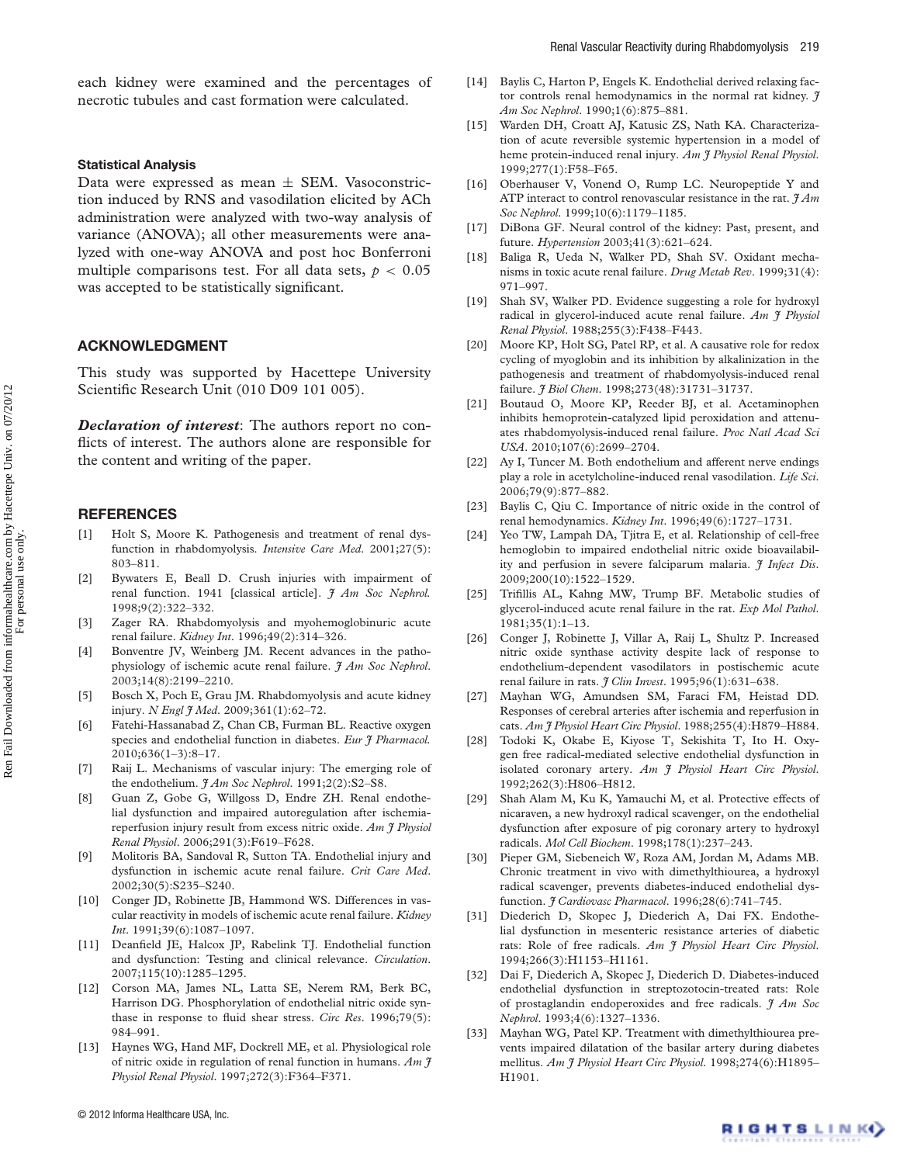each kidney were examined and the percentages of necrotic tubules and cast formation were calculated.

## **Statistical Analysis**

Data were expressed as mean  $\pm$  SEM. Vasoconstriction induced by RNS and vasodilation elicited by ACh administration were analyzed with two-way analysis of variance (ANOVA); all other measurements were analyzed with one-way ANOVA and post hoc Bonferroni multiple comparisons test. For all data sets,  $p < 0.05$ was accepted to be statistically significant.

# **ACKNOWLEDGMENT**

This study was supported by Hacettepe University Scientific Research Unit (010 D09 101 005).

*Declaration of interest*: The authors report no conflicts of interest. The authors alone are responsible for the content and writing of the paper.

# **REFERENCES**

- Holt S, Moore K. Pathogenesis and treatment of renal dysfunction in rhabdomyolysis. *Intensive Care Med*. 2001;27(5): 803–811.
- [2] Bywaters E, Beall D. Crush injuries with impairment of renal function. 1941 [classical article]. *J Am Soc Nephrol.* 1998;9(2):322–332.
- [3] Zager RA. Rhabdomyolysis and myohemoglobinuric acute renal failure. *Kidney Int*. 1996;49(2):314–326.
- [4] Bonventre JV, Weinberg JM. Recent advances in the pathophysiology of ischemic acute renal failure. *J Am Soc Nephrol*. 2003;14(8):2199–2210.
- [5] Bosch X, Poch E, Grau JM. Rhabdomyolysis and acute kidney injury. *N Engl J Med*. 2009;361(1):62–72.
- [6] Fatehi-Hassanabad Z, Chan CB, Furman BL. Reactive oxygen species and endothelial function in diabetes. *Eur J Pharmacol.* 2010;636(1–3):8–17.
- [7] Raij L. Mechanisms of vascular injury: The emerging role of the endothelium.  $JAm Soc Nephrol.$  1991;2(2):S2-S8.
- [8] Guan Z, Gobe G, Willgoss D, Endre ZH. Renal endothelial dysfunction and impaired autoregulation after ischemiareperfusion injury result from excess nitric oxide. *Am J Physiol Renal Physiol*. 2006;291(3):F619–F628.
- [9] Molitoris BA, Sandoval R, Sutton TA. Endothelial injury and dysfunction in ischemic acute renal failure. *Crit Care Med*. 2002;30(5):S235–S240.
- [10] Conger JD, Robinette JB, Hammond WS. Differences in vascular reactivity in models of ischemic acute renal failure. *Kidney Int*. 1991;39(6):1087–1097.
- [11] Deanfield JE, Halcox JP, Rabelink TJ. Endothelial function and dysfunction: Testing and clinical relevance. *Circulation*. 2007;115(10):1285–1295.
- [12] Corson MA, James NL, Latta SE, Nerem RM, Berk BC, Harrison DG. Phosphorylation of endothelial nitric oxide synthase in response to fluid shear stress. *Circ Res*. 1996;79(5): 984–991.
- [13] Haynes WG, Hand MF, Dockrell ME, et al. Physiological role of nitric oxide in regulation of renal function in humans. *Am J Physiol Renal Physiol*. 1997;272(3):F364–F371.
- [14] Baylis C, Harton P, Engels K. Endothelial derived relaxing factor controls renal hemodynamics in the normal rat kidney. *J Am Soc Nephrol*. 1990;1(6):875–881.
- [15] Warden DH, Croatt AJ, Katusic ZS, Nath KA. Characterization of acute reversible systemic hypertension in a model of heme protein-induced renal injury. *Am J Physiol Renal Physiol*. 1999;277(1):F58–F65.
- [16] Oberhauser V, Vonend O, Rump LC. Neuropeptide Y and ATP interact to control renovascular resistance in the rat.  $\mathcal{H}Am$ *Soc Nephrol*. 1999;10(6):1179–1185.
- [17] DiBona GF. Neural control of the kidney: Past, present, and future. *Hypertension* 2003;41(3):621–624.
- [18] Baliga R, Ueda N, Walker PD, Shah SV. Oxidant mechanisms in toxic acute renal failure. *Drug Metab Rev*. 1999;31(4): 971–997.
- [19] Shah SV, Walker PD. Evidence suggesting a role for hydroxyl radical in glycerol-induced acute renal failure. *Am J Physiol Renal Physiol*. 1988;255(3):F438–F443.
- [20] Moore KP, Holt SG, Patel RP, et al. A causative role for redox cycling of myoglobin and its inhibition by alkalinization in the pathogenesis and treatment of rhabdomyolysis-induced renal failure. *J Biol Chem*. 1998;273(48):31731–31737.
- [21] Boutaud O, Moore KP, Reeder BJ, et al. Acetaminophen inhibits hemoprotein-catalyzed lipid peroxidation and attenuates rhabdomyolysis-induced renal failure. *Proc Natl Acad Sci USA*. 2010;107(6):2699–2704.
- [22] Ay I, Tuncer M. Both endothelium and afferent nerve endings play a role in acetylcholine-induced renal vasodilation. *Life Sci*. 2006;79(9):877–882.
- [23] Baylis C, Qiu C. Importance of nitric oxide in the control of renal hemodynamics. *Kidney Int*. 1996;49(6):1727–1731.
- [24] Yeo TW, Lampah DA, Tjitra E, et al. Relationship of cell-free hemoglobin to impaired endothelial nitric oxide bioavailability and perfusion in severe falciparum malaria. *J Infect Dis*. 2009;200(10):1522–1529.
- [25] Trifillis AL, Kahng MW, Trump BF. Metabolic studies of glycerol-induced acute renal failure in the rat. *Exp Mol Pathol*. 1981;35(1):1–13.
- [26] Conger J, Robinette J, Villar A, Raij L, Shultz P. Increased nitric oxide synthase activity despite lack of response to endothelium-dependent vasodilators in postischemic acute renal failure in rats. *J Clin Invest*. 1995;96(1):631–638.
- [27] Mayhan WG, Amundsen SM, Faraci FM, Heistad DD. Responses of cerebral arteries after ischemia and reperfusion in cats. *Am J Physiol Heart Circ Physiol*. 1988;255(4):H879–H884.
- [28] Todoki K, Okabe E, Kiyose T, Sekishita T, Ito H. Oxygen free radical-mediated selective endothelial dysfunction in isolated coronary artery. *Am J Physiol Heart Circ Physiol*. 1992;262(3):H806–H812.
- [29] Shah Alam M, Ku K, Yamauchi M, et al. Protective effects of nicaraven, a new hydroxyl radical scavenger, on the endothelial dysfunction after exposure of pig coronary artery to hydroxyl radicals. *Mol Cell Biochem*. 1998;178(1):237–243.
- [30] Pieper GM, Siebeneich W, Roza AM, Jordan M, Adams MB. Chronic treatment in vivo with dimethylthiourea, a hydroxyl radical scavenger, prevents diabetes-induced endothelial dysfunction. *J Cardiovasc Pharmacol*. 1996;28(6):741–745.
- [31] Diederich D, Skopec J, Diederich A, Dai FX. Endothelial dysfunction in mesenteric resistance arteries of diabetic rats: Role of free radicals. *Am J Physiol Heart Circ Physiol*. 1994;266(3):H1153–H1161.
- [32] Dai F, Diederich A, Skopec J, Diederich D. Diabetes-induced endothelial dysfunction in streptozotocin-treated rats: Role of prostaglandin endoperoxides and free radicals. *J Am Soc Nephrol*. 1993;4(6):1327–1336.
- [33] Mayhan WG, Patel KP. Treatment with dimethylthiourea prevents impaired dilatation of the basilar artery during diabetes mellitus. *Am J Physiol Heart Circ Physiol*. 1998;274(6):H1895– H1901.